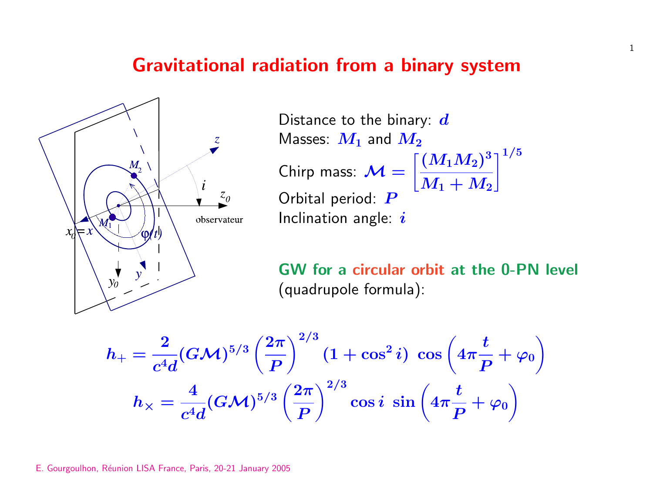## Gravitational radiation from a binary system



Distance to the binary:  $d$ Masses:  $M_1$  and  $M_2$ Chirp mass:  $\mathcal{M} =$ <u>دء</u><br>- $(M_1M_2)^3$  $\boldsymbol{M_1} + \boldsymbol{M_2}$  $-1/5$ Orbital period: P Inclination angle:  $i$ 

GW for a circular orbit at the 0-PN level (quadrupole formula):

$$
h_+ = \frac{2}{c^4 d} (G{\cal M})^{5/3} \left(\frac{2\pi}{P}\right)^{2/3} (1 + \cos^2 i) \; \cos\left(4\pi \frac{t}{P} + \varphi_0\right) \\[1ex] h_{\times} = \frac{4}{c^4 d} (G{\cal M})^{5/3} \left(\frac{2\pi}{P}\right)^{2/3} \cos i \; \sin\left(4\pi \frac{t}{P} + \varphi_0\right)
$$

1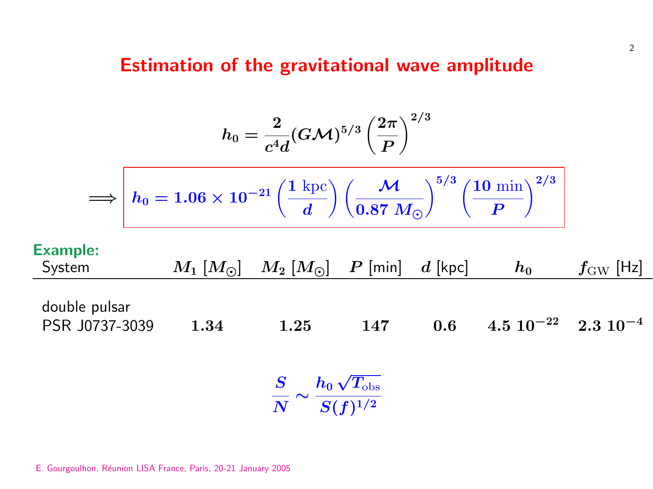## Estimation of the gravitational wave amplitude

$$
h_0=\frac{2}{c^4 d}(G{\cal M})^{5/3}\left(\frac{2\pi}{P}\right)^{2/3}
$$

$$
\Longrightarrow \left\vert\,h_0=1.06\times10^{-21}\left(\frac{1~{\rm kpc}}{d}\right)\left(\frac{{\cal M}}{0.87~M_\odot}\right)^{5/3}\left(\frac{10~{\rm min}}{P}\right)^{2/3}\right.
$$

## Example:

| System                                                             |      | $M_1$ $[M_{\odot}]$ $M_2$ $[M_{\odot}]$ $P$ [min] |     | $d$ [kpc] | $\bm{h_0}$                           | $\boldsymbol{f_{\rm GW}}$ [Hz] |
|--------------------------------------------------------------------|------|---------------------------------------------------|-----|-----------|--------------------------------------|--------------------------------|
| double pulsar<br>PSR J0737-3039                                    | 1.34 | 1.25                                              | 147 | 0.6       | $4.5 \ 10^{-22} \quad 2.3 \ 10^{-4}$ |                                |
| $\frac{S}{N} \sim \frac{h_0\,\sqrt{T_{\rm obs}}}{S(f)^{1/2}} \, ,$ |      |                                                   |     |           |                                      |                                |

E. Gourgoulhon, Réunion LISA France, Paris, 20-21 January 2005